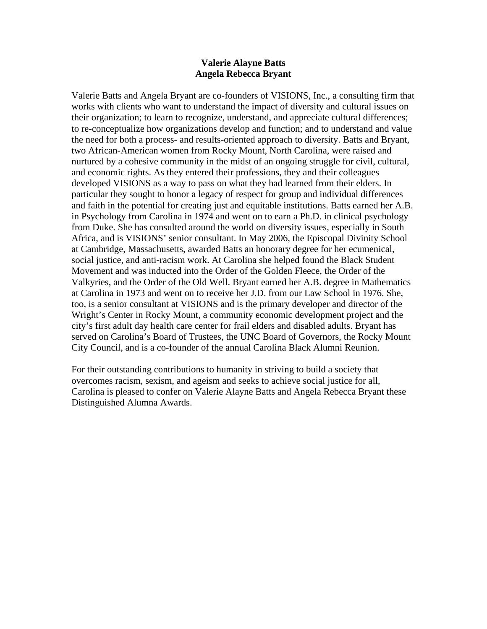# **Valerie Alayne Batts Angela Rebecca Bryant**

Valerie Batts and Angela Bryant are co-founders of VISIONS, Inc., a consulting firm that works with clients who want to understand the impact of diversity and cultural issues on their organization; to learn to recognize, understand, and appreciate cultural differences; to re-conceptualize how organizations develop and function; and to understand and value the need for both a process- and results-oriented approach to diversity. Batts and Bryant, two African-American women from Rocky Mount, North Carolina, were raised and nurtured by a cohesive community in the midst of an ongoing struggle for civil, cultural, and economic rights. As they entered their professions, they and their colleagues developed VISIONS as a way to pass on what they had learned from their elders. In particular they sought to honor a legacy of respect for group and individual differences and faith in the potential for creating just and equitable institutions. Batts earned her A.B. in Psychology from Carolina in 1974 and went on to earn a Ph.D. in clinical psychology from Duke. She has consulted around the world on diversity issues, especially in South Africa, and is VISIONS' senior consultant. In May 2006, the Episcopal Divinity School at Cambridge, Massachusetts, awarded Batts an honorary degree for her ecumenical, social justice, and anti-racism work. At Carolina she helped found the Black Student Movement and was inducted into the Order of the Golden Fleece, the Order of the Valkyries, and the Order of the Old Well. Bryant earned her A.B. degree in Mathematics at Carolina in 1973 and went on to receive her J.D. from our Law School in 1976. She, too, is a senior consultant at VISIONS and is the primary developer and director of the Wright's Center in Rocky Mount, a community economic development project and the city's first adult day health care center for frail elders and disabled adults. Bryant has served on Carolina's Board of Trustees, the UNC Board of Governors, the Rocky Mount City Council, and is a co-founder of the annual Carolina Black Alumni Reunion.

For their outstanding contributions to humanity in striving to build a society that overcomes racism, sexism, and ageism and seeks to achieve social justice for all, Carolina is pleased to confer on Valerie Alayne Batts and Angela Rebecca Bryant these Distinguished Alumna Awards.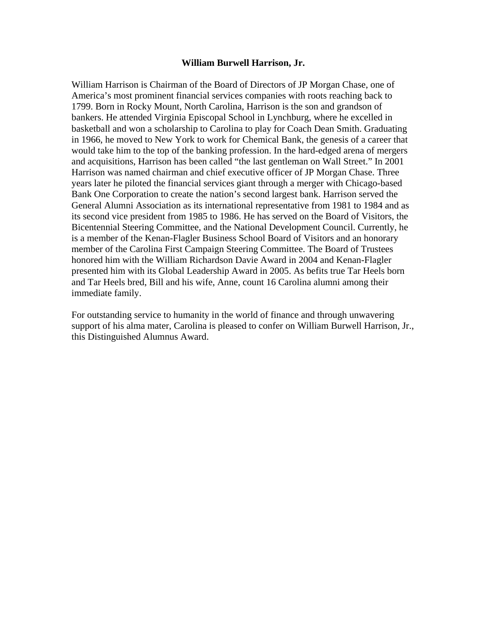## **William Burwell Harrison, Jr.**

William Harrison is Chairman of the Board of Directors of JP Morgan Chase, one of America's most prominent financial services companies with roots reaching back to 1799. Born in Rocky Mount, North Carolina, Harrison is the son and grandson of bankers. He attended Virginia Episcopal School in Lynchburg, where he excelled in basketball and won a scholarship to Carolina to play for Coach Dean Smith. Graduating in 1966, he moved to New York to work for Chemical Bank, the genesis of a career that would take him to the top of the banking profession. In the hard-edged arena of mergers and acquisitions, Harrison has been called "the last gentleman on Wall Street." In 2001 Harrison was named chairman and chief executive officer of JP Morgan Chase. Three years later he piloted the financial services giant through a merger with Chicago-based Bank One Corporation to create the nation's second largest bank. Harrison served the General Alumni Association as its international representative from 1981 to 1984 and as its second vice president from 1985 to 1986. He has served on the Board of Visitors, the Bicentennial Steering Committee, and the National Development Council. Currently, he is a member of the Kenan-Flagler Business School Board of Visitors and an honorary member of the Carolina First Campaign Steering Committee. The Board of Trustees honored him with the William Richardson Davie Award in 2004 and Kenan-Flagler presented him with its Global Leadership Award in 2005. As befits true Tar Heels born and Tar Heels bred, Bill and his wife, Anne, count 16 Carolina alumni among their immediate family.

For outstanding service to humanity in the world of finance and through unwavering support of his alma mater, Carolina is pleased to confer on William Burwell Harrison, Jr., this Distinguished Alumnus Award.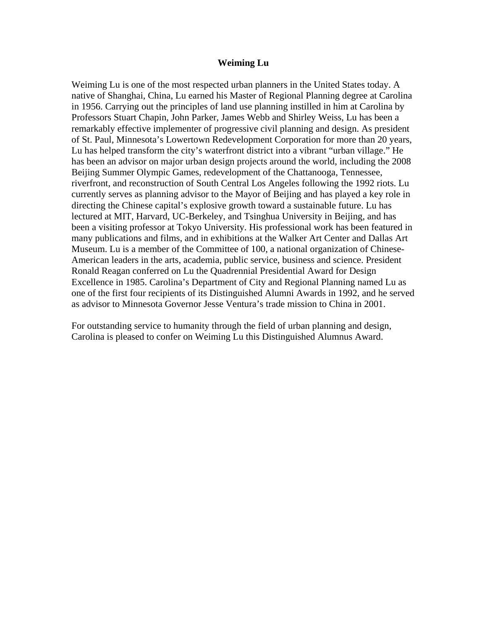#### **Weiming Lu**

Weiming Lu is one of the most respected urban planners in the United States today. A native of Shanghai, China, Lu earned his Master of Regional Planning degree at Carolina in 1956. Carrying out the principles of land use planning instilled in him at Carolina by Professors Stuart Chapin, John Parker, James Webb and Shirley Weiss, Lu has been a remarkably effective implementer of progressive civil planning and design. As president of St. Paul, Minnesota's Lowertown Redevelopment Corporation for more than 20 years, Lu has helped transform the city's waterfront district into a vibrant "urban village." He has been an advisor on major urban design projects around the world, including the 2008 Beijing Summer Olympic Games, redevelopment of the Chattanooga, Tennessee, riverfront, and reconstruction of South Central Los Angeles following the 1992 riots. Lu currently serves as planning advisor to the Mayor of Beijing and has played a key role in directing the Chinese capital's explosive growth toward a sustainable future. Lu has lectured at MIT, Harvard, UC-Berkeley, and Tsinghua University in Beijing, and has been a visiting professor at Tokyo University. His professional work has been featured in many publications and films, and in exhibitions at the Walker Art Center and Dallas Art Museum. Lu is a member of the Committee of 100, a national organization of Chinese-American leaders in the arts, academia, public service, business and science. President Ronald Reagan conferred on Lu the Quadrennial Presidential Award for Design Excellence in 1985. Carolina's Department of City and Regional Planning named Lu as one of the first four recipients of its Distinguished Alumni Awards in 1992, and he served as advisor to Minnesota Governor Jesse Ventura's trade mission to China in 2001.

For outstanding service to humanity through the field of urban planning and design, Carolina is pleased to confer on Weiming Lu this Distinguished Alumnus Award.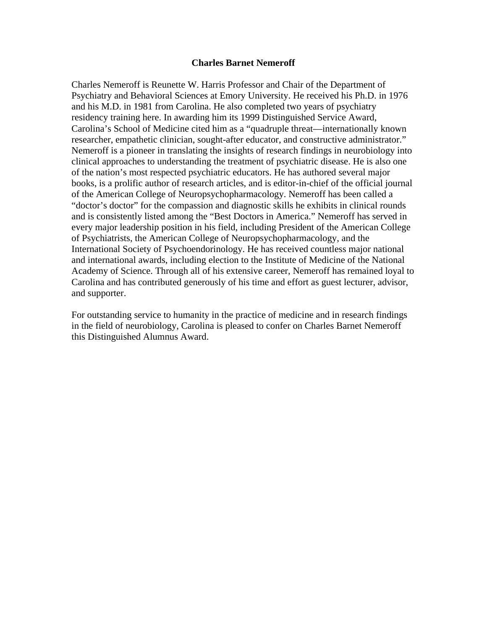## **Charles Barnet Nemeroff**

Charles Nemeroff is Reunette W. Harris Professor and Chair of the Department of Psychiatry and Behavioral Sciences at Emory University. He received his Ph.D. in 1976 and his M.D. in 1981 from Carolina. He also completed two years of psychiatry residency training here. In awarding him its 1999 Distinguished Service Award, Carolina's School of Medicine cited him as a "quadruple threat—internationally known researcher, empathetic clinician, sought-after educator, and constructive administrator." Nemeroff is a pioneer in translating the insights of research findings in neurobiology into clinical approaches to understanding the treatment of psychiatric disease. He is also one of the nation's most respected psychiatric educators. He has authored several major books, is a prolific author of research articles, and is editor-in-chief of the official journal of the American College of Neuropsychopharmacology. Nemeroff has been called a "doctor's doctor" for the compassion and diagnostic skills he exhibits in clinical rounds and is consistently listed among the "Best Doctors in America." Nemeroff has served in every major leadership position in his field, including President of the American College of Psychiatrists, the American College of Neuropsychopharmacology, and the International Society of Psychoendorinology. He has received countless major national and international awards, including election to the Institute of Medicine of the National Academy of Science. Through all of his extensive career, Nemeroff has remained loyal to Carolina and has contributed generously of his time and effort as guest lecturer, advisor, and supporter.

For outstanding service to humanity in the practice of medicine and in research findings in the field of neurobiology, Carolina is pleased to confer on Charles Barnet Nemeroff this Distinguished Alumnus Award.